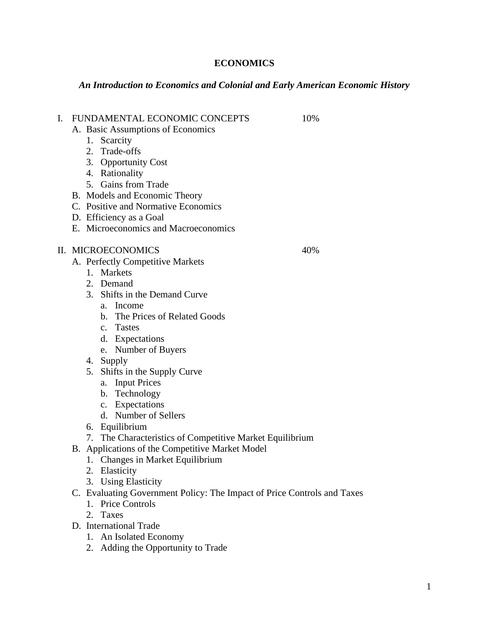## **ECONOMICS**

## *An Introduction to Economics and Colonial and Early American Economic History*

I. FUNDAMENTAL ECONOMIC CONCEPTS 10% A. Basic Assumptions of Economics 1. Scarcity 2. Trade-offs 3. Opportunity Cost 4. Rationality 5. Gains from Trade B. Models and Economic Theory C. Positive and Normative Economics D. Efficiency as a Goal E. Microeconomics and Macroeconomics II. MICROECONOMICS 40% A. Perfectly Competitive Markets 1. Markets 2. Demand 3. Shifts in the Demand Curve a. Income b. The Prices of Related Goods c. Tastes d. Expectations e. Number of Buyers 4. Supply 5. Shifts in the Supply Curve a. Input Prices

- b. Technology
- c. Expectations
- d. Number of Sellers
- 6. Equilibrium
- 7. The Characteristics of Competitive Market Equilibrium
- B. Applications of the Competitive Market Model
	- 1. Changes in Market Equilibrium
	- 2. Elasticity
	- 3. Using Elasticity
- C. Evaluating Government Policy: The Impact of Price Controls and Taxes
	- 1. Price Controls
	- 2. Taxes
- D. International Trade
	- 1. An Isolated Economy
	- 2. Adding the Opportunity to Trade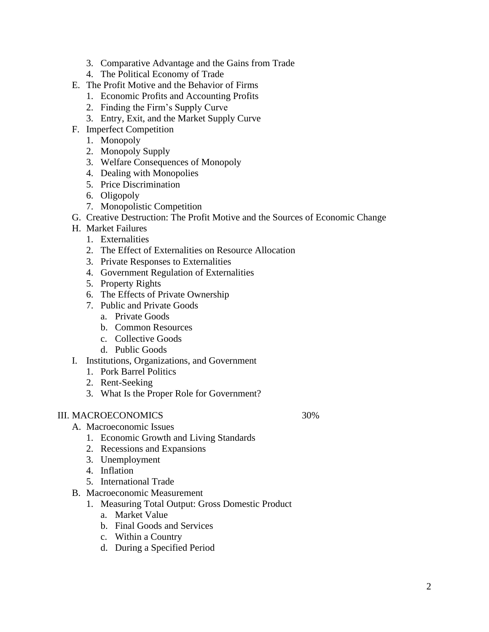- 3. Comparative Advantage and the Gains from Trade
- 4. The Political Economy of Trade
- E. The Profit Motive and the Behavior of Firms
	- 1. Economic Profits and Accounting Profits
	- 2. Finding the Firm's Supply Curve
	- 3. Entry, Exit, and the Market Supply Curve
- F. Imperfect Competition
	- 1. Monopoly
	- 2. Monopoly Supply
	- 3. Welfare Consequences of Monopoly
	- 4. Dealing with Monopolies
	- 5. Price Discrimination
	- 6. Oligopoly
	- 7. Monopolistic Competition
- G. Creative Destruction: The Profit Motive and the Sources of Economic Change
- H. Market Failures
	- 1. Externalities
	- 2. The Effect of Externalities on Resource Allocation
	- 3. Private Responses to Externalities
	- 4. Government Regulation of Externalities
	- 5. Property Rights
	- 6. The Effects of Private Ownership
	- 7. Public and Private Goods
		- a. Private Goods
		- b. Common Resources
		- c. Collective Goods
		- d. Public Goods
- I. Institutions, Organizations, and Government
	- 1. Pork Barrel Politics
	- 2. Rent-Seeking
	- 3. What Is the Proper Role for Government?

## III. MACROECONOMICS 30%

- A. Macroeconomic Issues
	- 1. Economic Growth and Living Standards
	- 2. Recessions and Expansions
	- 3. Unemployment
	- 4. Inflation
	- 5. International Trade
- B. Macroeconomic Measurement
	- 1. Measuring Total Output: Gross Domestic Product
		- a. Market Value
		- b. Final Goods and Services
		- c. Within a Country
		- d. During a Specified Period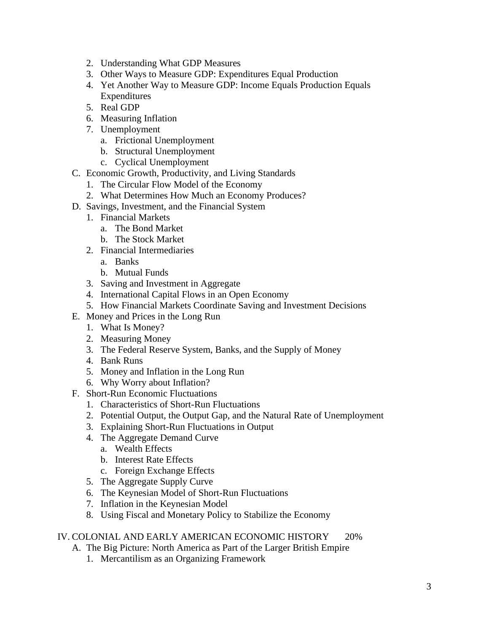- 2. Understanding What GDP Measures
- 3. Other Ways to Measure GDP: Expenditures Equal Production
- 4. Yet Another Way to Measure GDP: Income Equals Production Equals Expenditures
- 5. Real GDP
- 6. Measuring Inflation
- 7. Unemployment
	- a. Frictional Unemployment
	- b. Structural Unemployment
	- c. Cyclical Unemployment
- C. Economic Growth, Productivity, and Living Standards
	- 1. The Circular Flow Model of the Economy
	- 2. What Determines How Much an Economy Produces?
- D. Savings, Investment, and the Financial System
	- 1. Financial Markets
		- a. The Bond Market
		- b. The Stock Market
	- 2. Financial Intermediaries
		- a. Banks
		- b. Mutual Funds
	- 3. Saving and Investment in Aggregate
	- 4. International Capital Flows in an Open Economy
	- 5. How Financial Markets Coordinate Saving and Investment Decisions
- E. Money and Prices in the Long Run
	- 1. What Is Money?
	- 2. Measuring Money
	- 3. The Federal Reserve System, Banks, and the Supply of Money
	- 4. Bank Runs
	- 5. Money and Inflation in the Long Run
	- 6. Why Worry about Inflation?
- F. Short-Run Economic Fluctuations
	- 1. Characteristics of Short-Run Fluctuations
	- 2. Potential Output, the Output Gap, and the Natural Rate of Unemployment
	- 3. Explaining Short-Run Fluctuations in Output
	- 4. The Aggregate Demand Curve
		- a. Wealth Effects
		- b. Interest Rate Effects
		- c. Foreign Exchange Effects
	- 5. The Aggregate Supply Curve
	- 6. The Keynesian Model of Short-Run Fluctuations
	- 7. Inflation in the Keynesian Model
	- 8. Using Fiscal and Monetary Policy to Stabilize the Economy

## IV. COLONIAL AND EARLY AMERICAN ECONOMIC HISTORY 20%

- A. The Big Picture: North America as Part of the Larger British Empire
	- 1. Mercantilism as an Organizing Framework